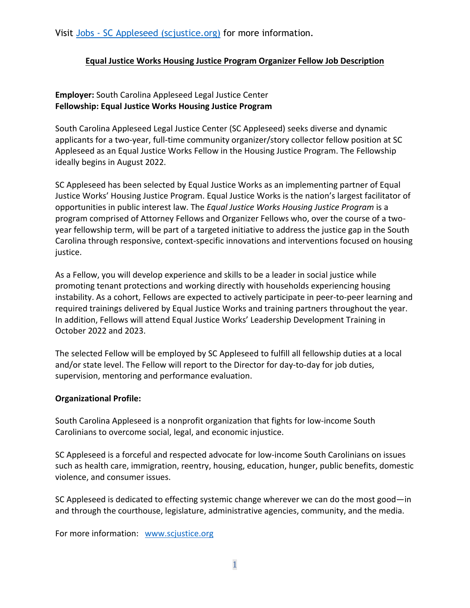Visit Jobs - [SC Appleseed \(scjustice.org\)](http://www.scjustice.org/jobs/) for more information.

## **Equal Justice Works Housing Justice Program Organizer Fellow Job Description**

# **Employer:** South Carolina Appleseed Legal Justice Center **Fellowship: Equal Justice Works Housing Justice Program**

South Carolina Appleseed Legal Justice Center (SC Appleseed) seeks diverse and dynamic applicants for a two-year, full-time community organizer/story collector fellow position at SC Appleseed as an Equal Justice Works Fellow in the Housing Justice Program. The Fellowship ideally begins in August 2022.

SC Appleseed has been selected by Equal Justice Works as an implementing partner of Equal Justice Works' Housing Justice Program. Equal Justice Works is the nation's largest facilitator of opportunities in public interest law. The *Equal Justice Works Housing Justice Program* is a program comprised of Attorney Fellows and Organizer Fellows who, over the course of a twoyear fellowship term, will be part of a targeted initiative to address the justice gap in the South Carolina through responsive, context-specific innovations and interventions focused on housing justice.

As a Fellow, you will develop experience and skills to be a leader in social justice while promoting tenant protections and working directly with households experiencing housing instability. As a cohort, Fellows are expected to actively participate in peer-to-peer learning and required trainings delivered by Equal Justice Works and training partners throughout the year. In addition, Fellows will attend Equal Justice Works' Leadership Development Training in October 2022 and 2023.

The selected Fellow will be employed by SC Appleseed to fulfill all fellowship duties at a local and/or state level. The Fellow will report to the Director for day-to-day for job duties, supervision, mentoring and performance evaluation.

#### **Organizational Profile:**

South Carolina Appleseed is a nonprofit organization that fights for low-income South Carolinians to overcome social, legal, and economic injustice.

SC Appleseed is a forceful and respected advocate for low-income South Carolinians on issues such as health care, immigration, reentry, housing, education, hunger, public benefits, domestic violence, and consumer issues.

SC Appleseed is dedicated to effecting systemic change wherever we can do the most good—in and through the courthouse, legislature, administrative agencies, community, and the media.

For more information: [www.scjustice.org](http://www.scjustice.org/)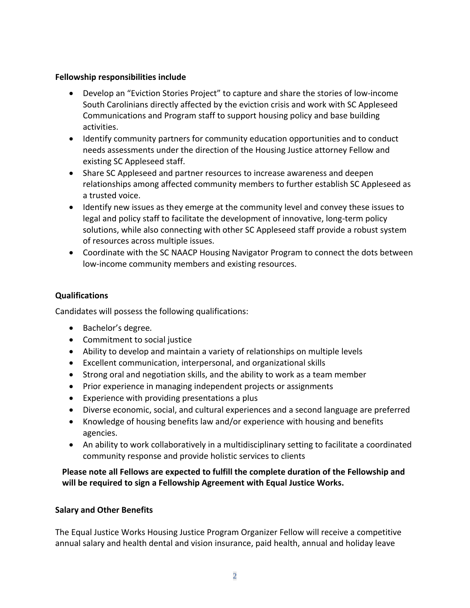#### **Fellowship responsibilities include**

- Develop an "Eviction Stories Project" to capture and share the stories of low-income South Carolinians directly affected by the eviction crisis and work with SC Appleseed Communications and Program staff to support housing policy and base building activities.
- Identify community partners for community education opportunities and to conduct needs assessments under the direction of the Housing Justice attorney Fellow and existing SC Appleseed staff.
- Share SC Appleseed and partner resources to increase awareness and deepen relationships among affected community members to further establish SC Appleseed as a trusted voice.
- Identify new issues as they emerge at the community level and convey these issues to legal and policy staff to facilitate the development of innovative, long-term policy solutions, while also connecting with other SC Appleseed staff provide a robust system of resources across multiple issues.
- Coordinate with the SC NAACP Housing Navigator Program to connect the dots between low-income community members and existing resources.

# **Qualifications**

Candidates will possess the following qualifications:

- Bachelor's degree*.*
- Commitment to social justice
- Ability to develop and maintain a variety of relationships on multiple levels
- Excellent communication, interpersonal, and organizational skills
- Strong oral and negotiation skills, and the ability to work as a team member
- Prior experience in managing independent projects or assignments
- Experience with providing presentations a plus
- Diverse economic, social, and cultural experiences and a second language are preferred
- Knowledge of housing benefits law and/or experience with housing and benefits agencies.
- An ability to work collaboratively in a multidisciplinary setting to facilitate a coordinated community response and provide holistic services to clients

# **Please note all Fellows are expected to fulfill the complete duration of the Fellowship and will be required to sign a Fellowship Agreement with Equal Justice Works.**

#### **Salary and Other Benefits**

The Equal Justice Works Housing Justice Program Organizer Fellow will receive a competitive annual salary and health dental and vision insurance, paid health, annual and holiday leave